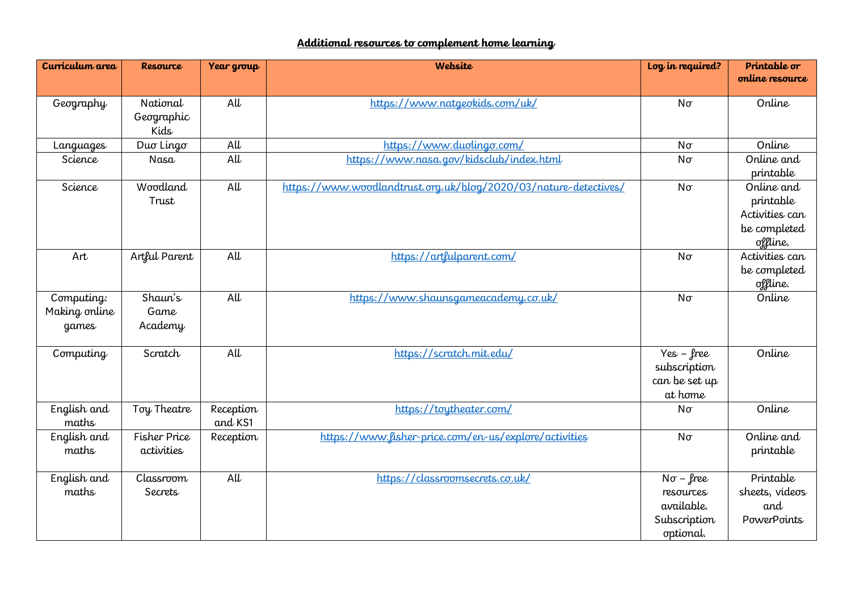## **Additional resources to complement home learning**

| Curriculum area                      | <b>Resource</b>                | Year group             | Website                                                          | Log in required?                                                         | Printable or<br>online resource                                       |
|--------------------------------------|--------------------------------|------------------------|------------------------------------------------------------------|--------------------------------------------------------------------------|-----------------------------------------------------------------------|
|                                      |                                |                        |                                                                  |                                                                          |                                                                       |
| Geography                            | National<br>Geographic<br>Kids | $\mathsf{A}\mathsf{U}$ | https://www.natgeokids.com/uk/                                   | $N\sigma$                                                                | Online                                                                |
| Languages                            | Duo Lingo                      | $\mathsf{A}\mathsf{U}$ | https://www.duolingo.com/                                        | $N\sigma$                                                                | Online                                                                |
| Science                              | Nasa                           | $\mathsf{A}\mathsf{U}$ | https://www.nasa.gov/kidsclub/index.html                         | $N\sigma$                                                                | Online and<br>printable                                               |
| Science                              | Woodland<br>Trust              | $\mathsf{A}\mathsf{U}$ | https://www.woodlandtrust.org.uk/blog/2020/03/nature-detectives/ | $N\sigma$                                                                | Online and<br>printable<br>Activities can<br>be completed<br>offline. |
| Art                                  | Artful Parent                  | $\mathsf{A}\mathsf{U}$ | https://artfulparent.com/                                        | $N\sigma$                                                                | Activities can<br>be completed<br>offline.                            |
| Computing:<br>Making online<br>games | Shaun's<br>Game<br>Academy     | $\overline{all}$       | https://www.shaunsgameacademy.co.uk/                             | $N\sigma$                                                                | Online                                                                |
| Computing                            | Scratch                        | $\Delta U$             | https://scratch.mit.edu/                                         | $Yes - free$<br>subscription<br>can be set up<br>at home                 | Online                                                                |
| English and<br>maths                 | Toy Theatre                    | Reception<br>and KS1   | https://toutheater.com/                                          | $N\sigma$                                                                | Online                                                                |
| English and<br>maths                 | Fisher Price<br>activities     | Reception              | https://www.lisher-price.com/en-us/explore/activities            | $N\sigma$                                                                | Online and<br>printable                                               |
| English and<br>maths                 | Classroom<br>Secrets           | $\overline{AU}$        | https://classroomsecrets.co.uk/                                  | $N\sigma$ – free<br>resources<br>available.<br>Subscription<br>optional. | Printable<br>sheets, videos<br>and<br><b>PowerPoints</b>              |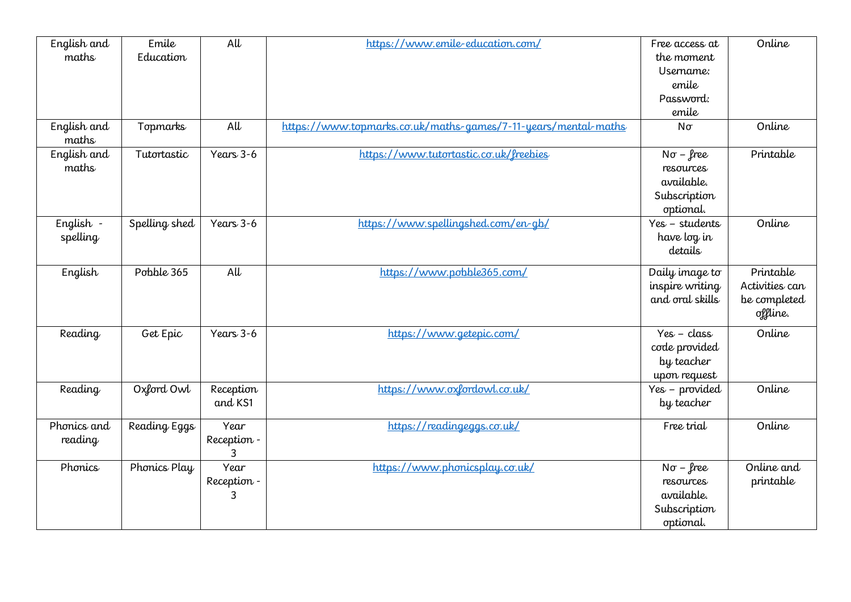| English and<br>maths   | Emile<br>Education | $\overline{AU}$          | https://www.emile-education.com/                               | Free access at<br>the moment<br>Username:<br>emile<br>Password:<br>emile | Online                                                  |
|------------------------|--------------------|--------------------------|----------------------------------------------------------------|--------------------------------------------------------------------------|---------------------------------------------------------|
| English and<br>maths   | Topmarks           | $\mathsf{A}\mathsf{U}$   | https://www.topmarks.co.uk/maths-games/7-11-years/mental-maths | $N\sigma$                                                                | Online                                                  |
| English and<br>maths   | Tutortastic        | Years 3-6                | https://www.tutortastic.co.uk/freebies                         | $N\sigma$ – free<br>resources<br>available.<br>Subscription<br>optional. | Printable                                               |
| English -<br>spelling  | Spelling shed      | Years 3-6                | https://www.spellingshed.com/en-gb/                            | Yes - students<br>have log in<br>details                                 | Online                                                  |
| English                | Pobble 365         | $\overline{all}$         | https://www.pobble365.com/                                     | Daily image to<br>inspire writing<br>and oral skills                     | Printable<br>Activities can<br>be completed<br>offline. |
| Reading                | Get Epic           | Years 3-6                | https://www.getepic.com/                                       | $Yes - class$<br>code provided<br>by teacher<br>upon request             | Online                                                  |
| Reading                | Oxford Owl         | Reception<br>and KS1     | https://www.oxfordowl.co.uk/                                   | Yes - provided<br>by teacher                                             | Online                                                  |
| Phonics and<br>reading | Reading Eggs       | Year<br>Reception -      | https://readingeggs.co.uk/                                     | Free trial                                                               | Online                                                  |
| Phonics                | Phonics Play       | Year<br>Reception -<br>3 | https://www.phonicsplay.co.uk/                                 | $N\sigma$ – free<br>resources<br>available.<br>Subscription<br>optional. | Online and<br>printable                                 |